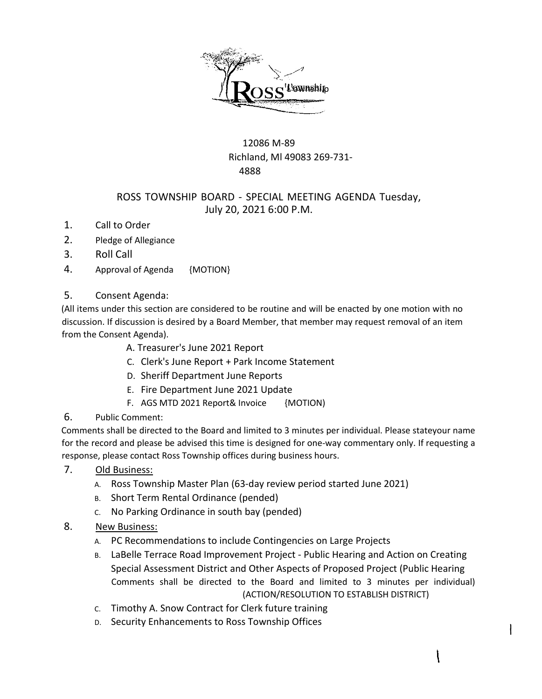

## 12086 M-89 Richland, Ml 49083 269-731- 4888

## ROSS TOWNSHIP BOARD - SPECIAL MEETING AGENDA Tuesday, July 20, 2021 6:00 P.M.

- 1. Call to Order
- 2. Pledge of Allegiance
- 3. Roll Call
- 4. Approval of Agenda {MOTION}

## 5. Consent Agenda:

(All items under this section are considered to be routine and will be enacted by one motion with no discussion. If discussion is desired by a Board Member, that member may request removal of an item from the Consent Agenda).

A. Treasurer's June 2021 Report

- C. Clerk's June Report + Park Income Statement
- D. Sheriff Department June Reports
- E. Fire Department June 2021 Update
- F. AGS MTD 2021 Report& Invoice {MOTION)
- 6. Public Comment:

Comments shall be directed to the Board and limited to 3 minutes per individual. Please stateyour name for the record and please be advised this time is designed for one-way commentary only. If requesting a response, please contact Ross Township offices during business hours.

- 7. Old Business:
	- A. Ross Township Master Plan (63-day review period started June 2021)
	- B. Short Term Rental Ordinance (pended)
	- C. No Parking Ordinance in south bay (pended)
- 8. New Business:
	- A. PC Recommendations to include Contingencies on Large Projects
	- B. LaBelle Terrace Road Improvement Project Public Hearing and Action on Creating Special Assessment District and Other Aspects of Proposed Project (Public Hearing Comments shall be directed to the Board and limited to 3 minutes per individual) (ACTION/RESOLUTION TO ESTABLISH DISTRICT)

ł

 $\mathcal{I}$ 

- C. Timothy A. Snow Contract for Clerk future training
- D. Security Enhancements to Ross Township Offices